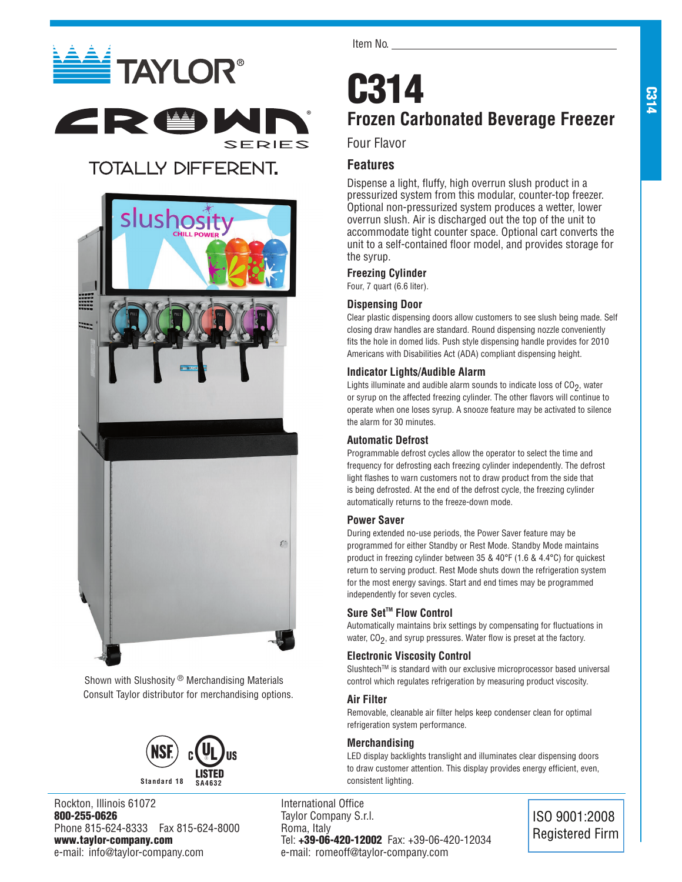# **ELECTAYLOR®** ERSI

### **TOTALLY DIFFERENT.**



Shown with Slushosity ® Merchandising Materials Consult Taylor distributor for merchandising options.



Rockton, Illinois 61072 800-255-0626 Phone 815-624-8333 Fax 815-624-8000 www.taylor-company.com e-mail: info@taylor-company.com

Item No.

### C314 **Frozen Carbonated Beverage Freezer**

### Four Flavor

®

**SERIES** 

### **Features**

Dispense a light, fluffy, high overrun slush product in a pressurized system from this modular, counter-top freezer. Optional non-pressurized system produces a wetter, lower overrun slush. Air is discharged out the top of the unit to accommodate tight counter space. Optional cart converts the unit to a self-contained floor model, and provides storage for the syrup.

### **Freezing Cylinder**

Four, 7 quart (6.6 liter).

### **Dispensing Door**

Clear plastic dispensing doors allow customers to see slush being made. Self closing draw handles are standard. Round dispensing nozzle conveniently fits the hole in domed lids. Push style dispensing handle provides for 2010 Americans with Disabilities Act (ADA) compliant dispensing height.

### **Indicator Lights/Audible Alarm**

Lights illuminate and audible alarm sounds to indicate loss of  $CO<sub>2</sub>$ , water or syrup on the affected freezing cylinder. The other flavors will continue to operate when one loses syrup. A snooze feature may be activated to silence the alarm for 30 minutes.

### **Automatic Defrost**

Programmable defrost cycles allow the operator to select the time and frequency for defrosting each freezing cylinder independently. The defrost light flashes to warn customers not to draw product from the side that is being defrosted. At the end of the defrost cycle, the freezing cylinder automatically returns to the freeze-down mode.

### **Power Saver**

During extended no-use periods, the Power Saver feature may be programmed for either Standby or Rest Mode. Standby Mode maintains product in freezing cylinder between 35 & 40°F (1.6 & 4.4°C) for quickest return to serving product. Rest Mode shuts down the refrigeration system for the most energy savings. Start and end times may be programmed independently for seven cycles.

### Sure Set<sup>™</sup> Flow Control

Automatically maintains brix settings by compensating for fluctuations in water,  $CO<sub>2</sub>$ , and syrup pressures. Water flow is preset at the factory.

### **Electronic Viscosity Control**

Slushtech™ is standard with our exclusive microprocessor based universal control which regulates refrigeration by measuring product viscosity.

### **Air Filter**

Removable, cleanable air filter helps keep condenser clean for optimal refrigeration system performance.

### **Merchandising**

LED display backlights translight and illuminates clear dispensing doors to draw customer attention. This display provides energy efficient, even, consistent lighting.

International Office Taylor Company S.r.l. Roma, Italy Tel: +39-06-420-12002 Fax: +39-06-420-12034 e-mail: romeoff@taylor-company.com